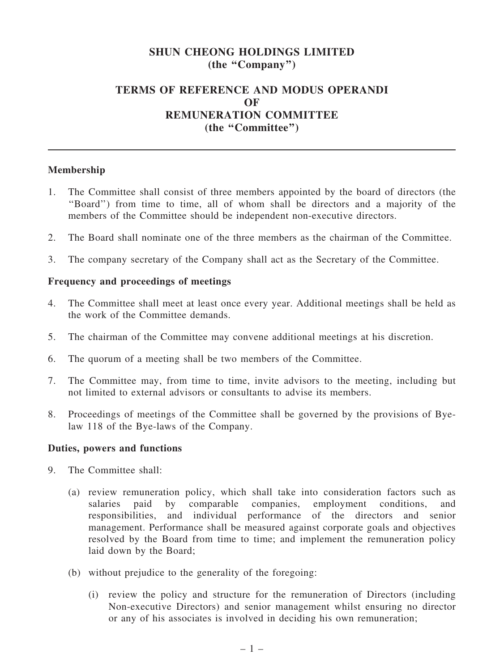# SHUN CHEONG HOLDINGS LIMITED (the ''Company'')

## TERMS OF REFERENCE AND MODUS OPERANDI **OF** REMUNERATION COMMITTEE (the "Committee")

### Membership

- 1. The Committee shall consist of three members appointed by the board of directors (the ''Board'') from time to time, all of whom shall be directors and a majority of the members of the Committee should be independent non-executive directors.
- 2. The Board shall nominate one of the three members as the chairman of the Committee.
- 3. The company secretary of the Company shall act as the Secretary of the Committee.

### Frequency and proceedings of meetings

- 4. The Committee shall meet at least once every year. Additional meetings shall be held as the work of the Committee demands.
- 5. The chairman of the Committee may convene additional meetings at his discretion.
- 6. The quorum of a meeting shall be two members of the Committee.
- 7. The Committee may, from time to time, invite advisors to the meeting, including but not limited to external advisors or consultants to advise its members.
- 8. Proceedings of meetings of the Committee shall be governed by the provisions of Byelaw 118 of the Bye-laws of the Company.

#### Duties, powers and functions

- 9. The Committee shall:
	- (a) review remuneration policy, which shall take into consideration factors such as salaries paid by comparable companies, employment conditions, and responsibilities, and individual performance of the directors and senior management. Performance shall be measured against corporate goals and objectives resolved by the Board from time to time; and implement the remuneration policy laid down by the Board;
	- (b) without prejudice to the generality of the foregoing:
		- (i) review the policy and structure for the remuneration of Directors (including Non-executive Directors) and senior management whilst ensuring no director or any of his associates is involved in deciding his own remuneration;